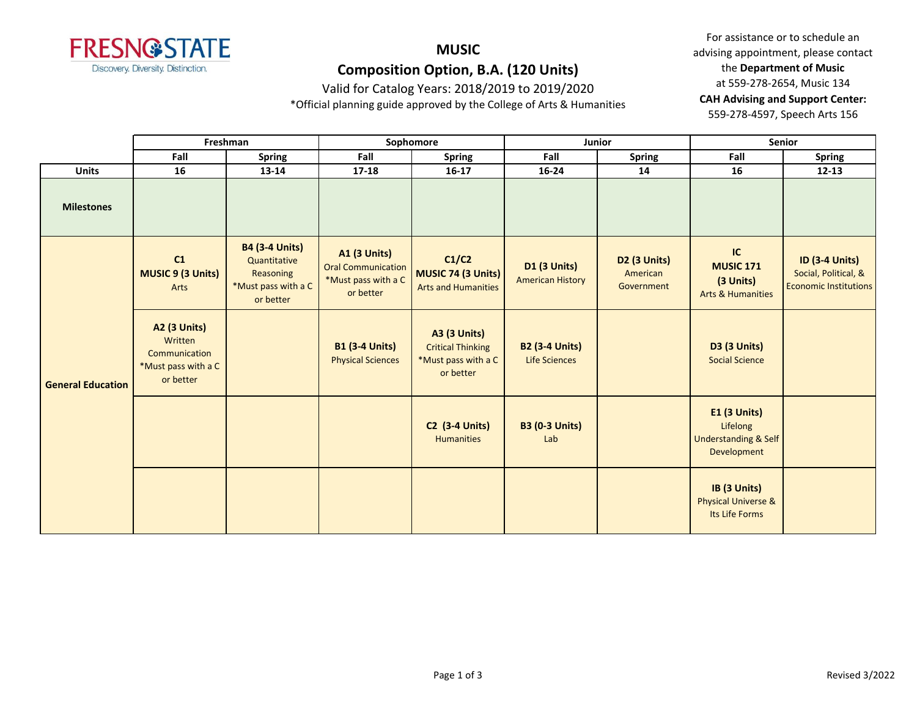

Valid for Catalog Years: 2018/2019 to 2019/2020

\*Official planning guide approved by the College of Arts & Humanities

|                          | Freshman                                                                            |                                                                                        | Sophomore                                                                            |                                                                                     | Junior                                         |                                                    | <b>Senior</b>                                                              |                                                                               |
|--------------------------|-------------------------------------------------------------------------------------|----------------------------------------------------------------------------------------|--------------------------------------------------------------------------------------|-------------------------------------------------------------------------------------|------------------------------------------------|----------------------------------------------------|----------------------------------------------------------------------------|-------------------------------------------------------------------------------|
|                          | Fall                                                                                | <b>Spring</b>                                                                          | Fall                                                                                 | <b>Spring</b>                                                                       | Fall                                           | <b>Spring</b>                                      | Fall                                                                       | <b>Spring</b>                                                                 |
| <b>Units</b>             | 16                                                                                  | 13-14                                                                                  | 17-18                                                                                | $16-17$                                                                             | 16-24                                          | 14                                                 | 16                                                                         | $12 - 13$                                                                     |
| <b>Milestones</b>        |                                                                                     |                                                                                        |                                                                                      |                                                                                     |                                                |                                                    |                                                                            |                                                                               |
| <b>General Education</b> | C1<br><b>MUSIC 9 (3 Units)</b><br>Arts                                              | <b>B4 (3-4 Units)</b><br>Quantitative<br>Reasoning<br>*Must pass with a C<br>or better | <b>A1 (3 Units)</b><br><b>Oral Communication</b><br>*Must pass with a C<br>or better | C1/C2<br>MUSIC 74 (3 Units)<br><b>Arts and Humanities</b>                           | <b>D1 (3 Units)</b><br><b>American History</b> | D <sub>2</sub> (3 Units)<br>American<br>Government | IC<br><b>MUSIC 171</b><br>(3 Units)<br><b>Arts &amp; Humanities</b>        | <b>ID (3-4 Units)</b><br>Social, Political, &<br><b>Economic Institutions</b> |
|                          | <b>A2 (3 Units)</b><br>Written<br>Communication<br>*Must pass with a C<br>or better |                                                                                        | <b>B1 (3-4 Units)</b><br><b>Physical Sciences</b>                                    | <b>A3 (3 Units)</b><br><b>Critical Thinking</b><br>*Must pass with a C<br>or better | <b>B2 (3-4 Units)</b><br>Life Sciences         |                                                    | <b>D3 (3 Units)</b><br><b>Social Science</b>                               |                                                                               |
|                          |                                                                                     |                                                                                        |                                                                                      | <b>C2</b> (3-4 Units)<br><b>Humanities</b>                                          | <b>B3 (0-3 Units)</b><br>Lab                   |                                                    | E1 (3 Units)<br>Lifelong<br><b>Understanding &amp; Self</b><br>Development |                                                                               |
|                          |                                                                                     |                                                                                        |                                                                                      |                                                                                     |                                                |                                                    | IB (3 Units)<br><b>Physical Universe &amp;</b><br>Its Life Forms           |                                                                               |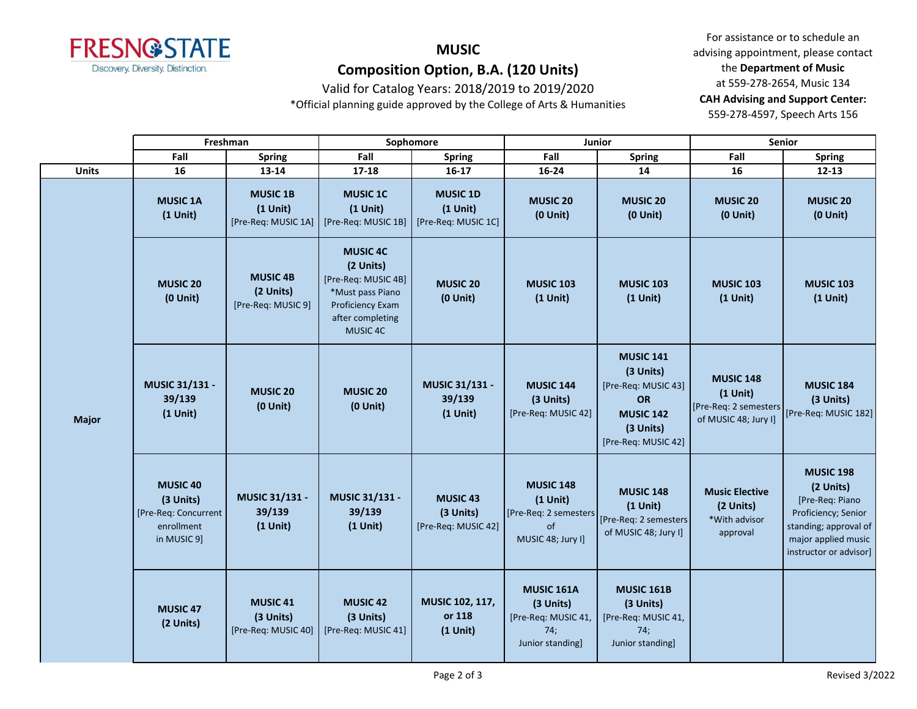

Valid for Catalog Years: 2018/2019 to 2019/2020

\*Official planning guide approved by the College of Arts & Humanities

|              | Freshman                                                                           |                                                      | Sophomore                                                                                                                          |                                                         | Junior                                                                              |                                                                                                                    | <b>Senior</b>                                                                    |                                                                                                                                                   |
|--------------|------------------------------------------------------------------------------------|------------------------------------------------------|------------------------------------------------------------------------------------------------------------------------------------|---------------------------------------------------------|-------------------------------------------------------------------------------------|--------------------------------------------------------------------------------------------------------------------|----------------------------------------------------------------------------------|---------------------------------------------------------------------------------------------------------------------------------------------------|
|              | Fall                                                                               | <b>Spring</b>                                        | Fall                                                                                                                               | <b>Spring</b>                                           | Fall                                                                                | <b>Spring</b>                                                                                                      | Fall                                                                             | <b>Spring</b>                                                                                                                                     |
| <b>Units</b> | 16                                                                                 | 13-14                                                | 17-18                                                                                                                              | $16-17$                                                 | 16-24                                                                               | 14                                                                                                                 | 16                                                                               | $12 - 13$                                                                                                                                         |
| <b>Major</b> | <b>MUSIC 1A</b><br>$(1$ Unit)                                                      | <b>MUSIC 1B</b><br>$(1$ Unit)<br>[Pre-Req: MUSIC 1A] | <b>MUSIC 1C</b><br>$(1$ Unit)<br>[Pre-Req: MUSIC 1B]                                                                               | <b>MUSIC 1D</b><br>$(1$ Unit)<br>[Pre-Req: MUSIC 1C]    | <b>MUSIC 20</b><br>$(0$ Unit)                                                       | <b>MUSIC 20</b><br>$(0$ Unit)                                                                                      | <b>MUSIC 20</b><br>$(0$ Unit)                                                    | <b>MUSIC 20</b><br>$(0$ Unit)                                                                                                                     |
|              | <b>MUSIC 20</b><br>$(0$ Unit)                                                      | <b>MUSIC 4B</b><br>(2 Units)<br>[Pre-Req: MUSIC 9]   | <b>MUSIC 4C</b><br>(2 Units)<br>[Pre-Req: MUSIC 4B]<br>*Must pass Piano<br><b>Proficiency Exam</b><br>after completing<br>MUSIC 4C | <b>MUSIC 20</b><br>$(0$ Unit $)$                        | <b>MUSIC 103</b><br>$(1$ Unit)                                                      | <b>MUSIC 103</b><br>$(1$ Unit)                                                                                     | <b>MUSIC 103</b><br>$(1$ Unit)                                                   | <b>MUSIC 103</b><br>$(1$ Unit)                                                                                                                    |
|              | MUSIC 31/131 -<br>39/139<br>$(1$ Unit)                                             | <b>MUSIC 20</b><br>$(0$ Unit $)$                     | <b>MUSIC 20</b><br>$(0$ Unit $)$                                                                                                   | MUSIC 31/131 -<br>39/139<br>$(1$ Unit)                  | <b>MUSIC 144</b><br>(3 Units)<br>[Pre-Req: MUSIC 42]                                | <b>MUSIC 141</b><br>(3 Units)<br>[Pre-Req: MUSIC 43]<br>OR<br><b>MUSIC 142</b><br>(3 Units)<br>[Pre-Req: MUSIC 42] | <b>MUSIC 148</b><br>$(1$ Unit)<br>[Pre-Req: 2 semesters]<br>of MUSIC 48; Jury I] | <b>MUSIC 184</b><br>(3 Units)<br>[Pre-Req: MUSIC 182]                                                                                             |
|              | <b>MUSIC 40</b><br>(3 Units)<br>[Pre-Req: Concurrent]<br>enrollment<br>in MUSIC 9] | MUSIC 31/131 -<br>39/139<br>$(1$ Unit)               | MUSIC 31/131 -<br>39/139<br>$(1$ Unit)                                                                                             | MUSIC <sub>43</sub><br>(3 Units)<br>[Pre-Req: MUSIC 42] | <b>MUSIC 148</b><br>$(1$ Unit)<br>[Pre-Req: 2 semesters]<br>of<br>MUSIC 48; Jury I] | <b>MUSIC 148</b><br>$(1$ Unit)<br>[Pre-Req: 2 semesters<br>of MUSIC 48; Jury I]                                    | <b>Music Elective</b><br>(2 Units)<br>*With advisor<br>approval                  | <b>MUSIC 198</b><br>(2 Units)<br>[Pre-Req: Piano<br>Proficiency; Senior<br>standing; approval of<br>major applied music<br>instructor or advisor] |
|              | MUSIC 47<br>(2 Units)                                                              | MUSIC 41<br>(3 Units)<br>[Pre-Req: MUSIC 40]         | <b>MUSIC 42</b><br>(3 Units)<br>[Pre-Req: MUSIC 41]                                                                                | MUSIC 102, 117,<br>or 118<br>$(1$ Unit)                 | <b>MUSIC 161A</b><br>(3 Units)<br>[Pre-Req: MUSIC 41,<br>74;<br>Junior standing]    | <b>MUSIC 161B</b><br>(3 Units)<br>[Pre-Req: MUSIC 41,<br>74;<br>Junior standing]                                   |                                                                                  |                                                                                                                                                   |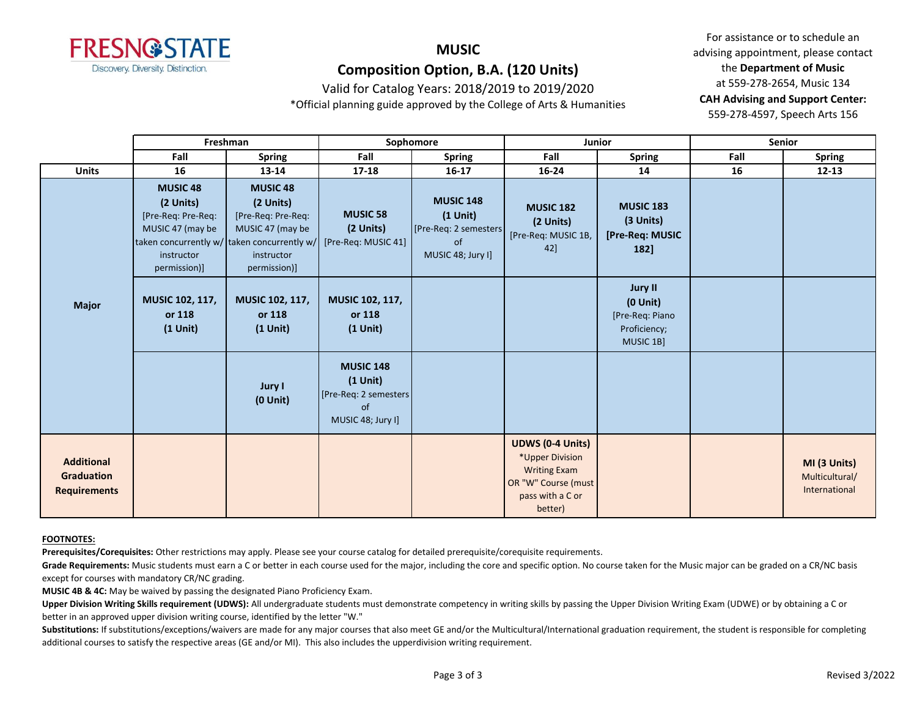

Valid for Catalog Years: 2018/2019 to 2019/2020

\*Official planning guide approved by the College of Arts & Humanities

For assistance or to schedule an advising appointment, please contact the **Department of Music** at 559-278-2654, Music 134 **CAH Advising and Support Center:**  559-278-4597, Speech Arts 156

|                                                               | Freshman                                                                                             |                                                                                                                                                     | Sophomore                                                                           |                                                                                        | Junior                                                                                                                  |                                                                                 | Senior |                                                 |
|---------------------------------------------------------------|------------------------------------------------------------------------------------------------------|-----------------------------------------------------------------------------------------------------------------------------------------------------|-------------------------------------------------------------------------------------|----------------------------------------------------------------------------------------|-------------------------------------------------------------------------------------------------------------------------|---------------------------------------------------------------------------------|--------|-------------------------------------------------|
|                                                               | Fall                                                                                                 | <b>Spring</b>                                                                                                                                       | Fall                                                                                | <b>Spring</b>                                                                          | Fall                                                                                                                    | <b>Spring</b>                                                                   | Fall   | <b>Spring</b>                                   |
| <b>Units</b>                                                  | 16                                                                                                   | $13 - 14$                                                                                                                                           | 17-18                                                                               | $16 - 17$                                                                              | 16-24                                                                                                                   | 14                                                                              | 16     | $12 - 13$                                       |
| <b>Major</b>                                                  | <b>MUSIC 48</b><br>(2 Units)<br>[Pre-Req: Pre-Req:<br>MUSIC 47 (may be<br>instructor<br>permission)] | <b>MUSIC 48</b><br>(2 Units)<br>[Pre-Req: Pre-Req:<br>MUSIC 47 (may be<br>taken concurrently w/ taken concurrently w/<br>instructor<br>permission)] | <b>MUSIC 58</b><br>(2 Units)<br>[Pre-Req: MUSIC 41]                                 | <b>MUSIC 148</b><br>$(1$ Unit $)$<br>[Pre-Req: 2 semesters]<br>of<br>MUSIC 48; Jury I] | <b>MUSIC 182</b><br>(2 Units)<br>[Pre-Req: MUSIC 1B,<br>42]                                                             | <b>MUSIC 183</b><br>(3 Units)<br>[Pre-Req: MUSIC<br>$182$ ]                     |        |                                                 |
|                                                               | <b>MUSIC 102, 117,</b><br>or 118<br>$(1$ Unit)                                                       | <b>MUSIC 102, 117,</b><br>or 118<br>$(1$ Unit $)$                                                                                                   | <b>MUSIC 102, 117,</b><br>or 118<br>$(1$ Unit)                                      |                                                                                        |                                                                                                                         | <b>Jury II</b><br>$(0$ Unit $)$<br>[Pre-Req: Piano<br>Proficiency;<br>MUSIC 1B] |        |                                                 |
|                                                               |                                                                                                      | Jury I<br>$(0$ Unit $)$                                                                                                                             | <b>MUSIC 148</b><br>$(1$ Unit)<br>[Pre-Req: 2 semesters]<br>of<br>MUSIC 48; Jury I] |                                                                                        |                                                                                                                         |                                                                                 |        |                                                 |
| <b>Additional</b><br><b>Graduation</b><br><b>Requirements</b> |                                                                                                      |                                                                                                                                                     |                                                                                     |                                                                                        | <b>UDWS (0-4 Units)</b><br>*Upper Division<br><b>Writing Exam</b><br>OR "W" Course (must<br>pass with a C or<br>better) |                                                                                 |        | MI (3 Units)<br>Multicultural/<br>International |

#### **FOOTNOTES:**

**Prerequisites/Corequisites:** Other restrictions may apply. Please see your course catalog for detailed prerequisite/corequisite requirements.

Grade Requirements: Music students must earn a C or better in each course used for the major, including the core and specific option. No course taken for the Music major can be graded on a CR/NC basis except for courses with mandatory CR/NC grading.

**MUSIC 4B & 4C:** May be waived by passing the designated Piano Proficiency Exam.

Upper Division Writing Skills requirement (UDWS): All undergraduate students must demonstrate competency in writing skills by passing the Upper Division Writing Exam (UDWE) or by obtaining a C or better in an approved upper division writing course, identified by the letter "W."

Substitutions: If substitutions/exceptions/waivers are made for any major courses that also meet GE and/or the Multicultural/International graduation requirement, the student is responsible for completing additional courses to satisfy the respective areas (GE and/or MI). This also includes the upperdivision writing requirement.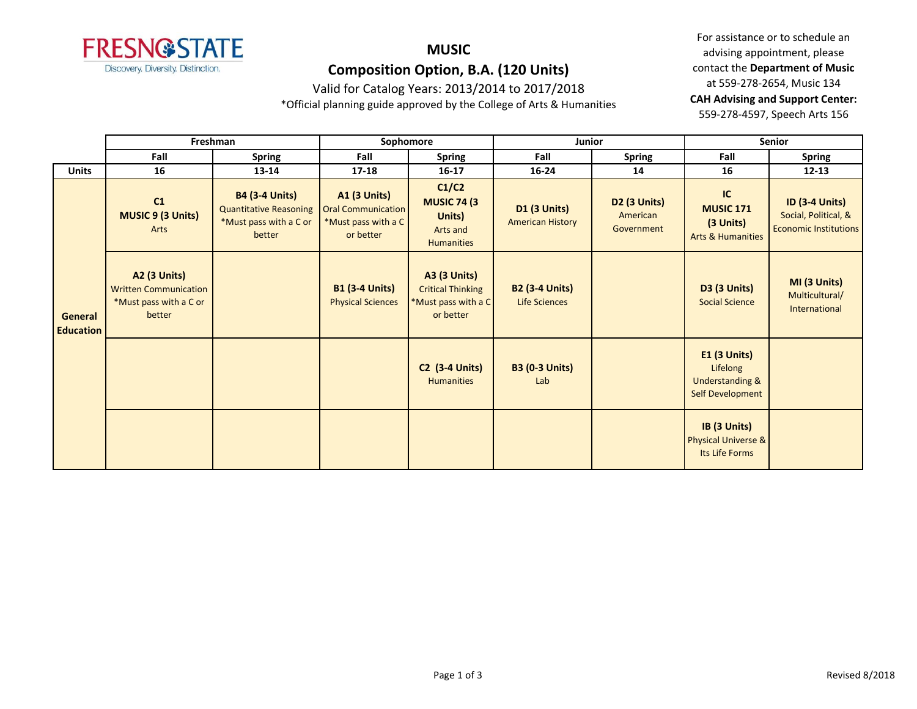

### Valid for Catalog Years: 2013/2014 to 2017/2018

\*Official planning guide approved by the College of Arts & Humanities

|                             | Freshman                                                                         |                                                                                            | Sophomore                                                                            |                                                                                     | Junior                                         |                                        | Senior                                                                            |                                                                               |
|-----------------------------|----------------------------------------------------------------------------------|--------------------------------------------------------------------------------------------|--------------------------------------------------------------------------------------|-------------------------------------------------------------------------------------|------------------------------------------------|----------------------------------------|-----------------------------------------------------------------------------------|-------------------------------------------------------------------------------|
|                             | Fall                                                                             | <b>Spring</b>                                                                              | Fall                                                                                 | <b>Spring</b>                                                                       | Fall                                           | <b>Spring</b>                          | Fall                                                                              | <b>Spring</b>                                                                 |
| <b>Units</b>                | 16                                                                               | 13-14                                                                                      | $17 - 18$                                                                            | $16 - 17$                                                                           | $16 - 24$                                      | 14                                     | 16                                                                                | $12 - 13$                                                                     |
| General<br><b>Education</b> | C1<br><b>MUSIC 9 (3 Units)</b><br>Arts                                           | <b>B4 (3-4 Units)</b><br><b>Quantitative Reasoning</b><br>*Must pass with a C or<br>better | <b>A1 (3 Units)</b><br><b>Oral Communication</b><br>*Must pass with a C<br>or better | C1/C2<br><b>MUSIC 74 (3)</b><br>Units)<br>Arts and<br><b>Humanities</b>             | <b>D1 (3 Units)</b><br><b>American History</b> | D2 (3 Units)<br>American<br>Government | IC<br><b>MUSIC 171</b><br>(3 Units)<br><b>Arts &amp; Humanities</b>               | <b>ID (3-4 Units)</b><br>Social, Political, &<br><b>Economic Institutions</b> |
|                             | A2 (3 Units)<br><b>Written Communication</b><br>*Must pass with a C or<br>better |                                                                                            | <b>B1 (3-4 Units)</b><br><b>Physical Sciences</b>                                    | <b>A3 (3 Units)</b><br><b>Critical Thinking</b><br>*Must pass with a C<br>or better | <b>B2 (3-4 Units)</b><br><b>Life Sciences</b>  |                                        | <b>D3 (3 Units)</b><br><b>Social Science</b>                                      | MI (3 Units)<br>Multicultural/<br>International                               |
|                             |                                                                                  |                                                                                            |                                                                                      | <b>C2 (3-4 Units)</b><br><b>Humanities</b>                                          | <b>B3 (0-3 Units)</b><br>Lab                   |                                        | <b>E1 (3 Units)</b><br>Lifelong<br><b>Understanding &amp;</b><br>Self Development |                                                                               |
|                             |                                                                                  |                                                                                            |                                                                                      |                                                                                     |                                                |                                        | IB (3 Units)<br><b>Physical Universe &amp;</b><br>Its Life Forms                  |                                                                               |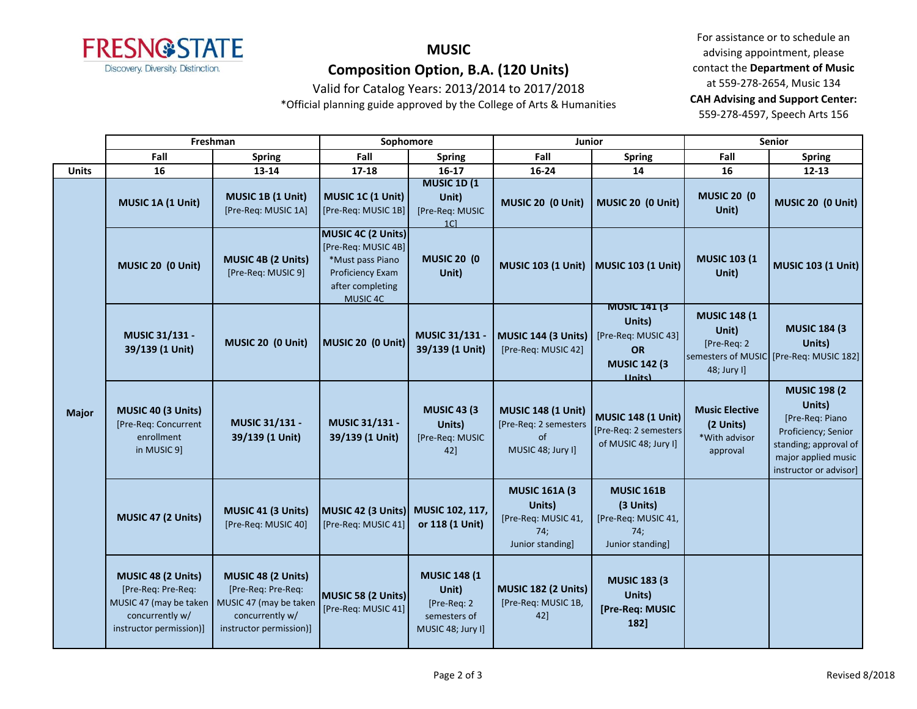

### Valid for Catalog Years: 2013/2014 to 2017/2018

\*Official planning guide approved by the College of Arts & Humanities

|              | Freshman                                                                                                         |                                                                                                                  | Sophomore                                                                                                         |                                                                                  | Junior                                                                            |                                                                                                             | Senior                                                          |                                                                                                                                                   |
|--------------|------------------------------------------------------------------------------------------------------------------|------------------------------------------------------------------------------------------------------------------|-------------------------------------------------------------------------------------------------------------------|----------------------------------------------------------------------------------|-----------------------------------------------------------------------------------|-------------------------------------------------------------------------------------------------------------|-----------------------------------------------------------------|---------------------------------------------------------------------------------------------------------------------------------------------------|
|              | Fall                                                                                                             | <b>Spring</b>                                                                                                    | Fall                                                                                                              | <b>Spring</b>                                                                    | Fall                                                                              | <b>Spring</b>                                                                                               | Fall                                                            | <b>Spring</b>                                                                                                                                     |
| <b>Units</b> | 16                                                                                                               | $13 - 14$                                                                                                        | $17 - 18$                                                                                                         | $16-17$                                                                          | 16-24                                                                             | 14                                                                                                          | 16                                                              | $12 - 13$                                                                                                                                         |
| <b>Major</b> | MUSIC 1A (1 Unit)                                                                                                | MUSIC 1B (1 Unit)<br>[Pre-Req: MUSIC 1A]                                                                         | <b>MUSIC 1C (1 Unit)</b><br>[Pre-Req: MUSIC 1B]                                                                   | <b>MUSIC 1D (1)</b><br>Unit)<br>[Pre-Req: MUSIC<br>1 <sup>C</sup>                | MUSIC 20 (0 Unit)                                                                 | MUSIC 20 (0 Unit)                                                                                           | <b>MUSIC 20 (0)</b><br>Unit)                                    | MUSIC 20 (0 Unit)                                                                                                                                 |
|              | MUSIC 20 (0 Unit)                                                                                                | <b>MUSIC 4B (2 Units)</b><br>[Pre-Req: MUSIC 9]                                                                  | MUSIC 4C (2 Units)<br>[Pre-Req: MUSIC 4B]<br>*Must pass Piano<br>Proficiency Exam<br>after completing<br>MUSIC 4C | <b>MUSIC 20 (0)</b><br>Unit)                                                     | <b>MUSIC 103 (1 Unit)</b>                                                         | MUSIC 103 (1 Unit)                                                                                          | <b>MUSIC 103 (1</b><br>Unit)                                    | <b>MUSIC 103 (1 Unit)</b>                                                                                                                         |
|              | MUSIC 31/131 -<br>39/139 (1 Unit)                                                                                | MUSIC 20 (0 Unit)                                                                                                | MUSIC 20 (0 Unit)                                                                                                 | MUSIC 31/131 -<br>39/139 (1 Unit)                                                | <b>MUSIC 144 (3 Units)</b><br>[Pre-Req: MUSIC 42]                                 | <b>MUSIC 141 (3)</b><br>Units)<br>[Pre-Req: MUSIC 43]<br><b>OR</b><br><b>MUSIC 142 (3)</b><br><b>Ilnits</b> | <b>MUSIC 148 (1)</b><br>Unit)<br>[Pre-Req: 2<br>48; Jury I]     | <b>MUSIC 184 (3</b><br>Units)<br>semesters of MUSIC [Pre-Req: MUSIC 182]                                                                          |
|              | MUSIC 40 (3 Units)<br>[Pre-Req: Concurrent<br>enrollment<br>in MUSIC 9]                                          | MUSIC 31/131 -<br>39/139 (1 Unit)                                                                                | MUSIC 31/131 -<br>39/139 (1 Unit)                                                                                 | <b>MUSIC 43 (3)</b><br>Units)<br>[Pre-Req: MUSIC<br>42]                          | <b>MUSIC 148 (1 Unit)</b><br>[Pre-Req: 2 semesters<br>of<br>MUSIC 48; Jury I]     | <b>MUSIC 148 (1 Unit)</b><br>[Pre-Req: 2 semesters<br>of MUSIC 48; Jury I]                                  | <b>Music Elective</b><br>(2 Units)<br>*With advisor<br>approval | <b>MUSIC 198 (2</b><br>Units)<br>[Pre-Req: Piano<br>Proficiency; Senior<br>standing; approval of<br>major applied music<br>instructor or advisor] |
|              | MUSIC 47 (2 Units)                                                                                               | MUSIC 41 (3 Units)<br>[Pre-Req: MUSIC 40]                                                                        | MUSIC 42 (3 Units)<br>[Pre-Req: MUSIC 41]                                                                         | MUSIC 102, 117,<br>or 118 (1 Unit)                                               | <b>MUSIC 161A (3)</b><br>Units)<br>[Pre-Req: MUSIC 41,<br>74;<br>Junior standing] | <b>MUSIC 161B</b><br>(3 Units)<br>[Pre-Req: MUSIC 41,<br>74;<br>Junior standing]                            |                                                                 |                                                                                                                                                   |
|              | MUSIC 48 (2 Units)<br>[Pre-Req: Pre-Req:<br>MUSIC 47 (may be taken<br>concurrently w/<br>instructor permission)] | MUSIC 48 (2 Units)<br>[Pre-Req: Pre-Req:<br>MUSIC 47 (may be taken<br>concurrently w/<br>instructor permission)] | MUSIC 58 (2 Units)<br>[Pre-Req: MUSIC 41]                                                                         | <b>MUSIC 148 (1</b><br>Unit)<br>[Pre-Req: 2<br>semesters of<br>MUSIC 48; Jury I] | <b>MUSIC 182 (2 Units)</b><br>[Pre-Req: MUSIC 1B,<br>42]                          | <b>MUSIC 183 (3)</b><br>Units)<br>[Pre-Req: MUSIC<br>182]                                                   |                                                                 |                                                                                                                                                   |